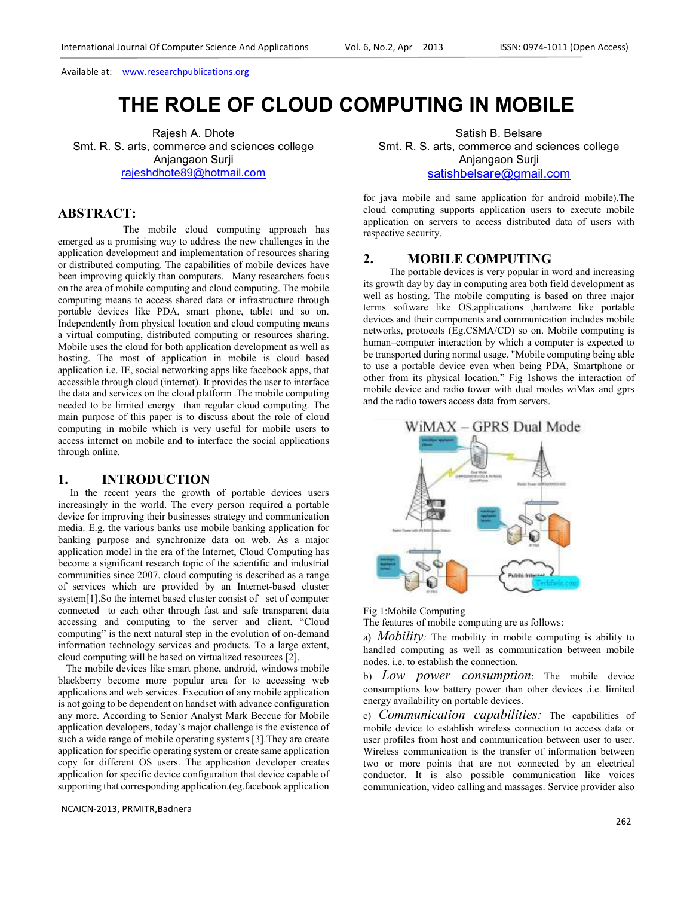# **THE ROLE OF CLOUD COMPUTING IN MOBILE**

Rajesh A. Dhote Smt. R. S. arts, commerce and sciences college Anjangaon Surji rajeshdhote89@hotmail.com

# **ABSTRACT:**

 The mobile cloud computing approach has emerged as a promising way to address the new challenges in the application development and implementation of resources sharing or distributed computing. The capabilities of mobile devices have been improving quickly than computers. Many researchers focus on the area of mobile computing and cloud computing. The mobile computing means to access shared data or infrastructure through portable devices like PDA, smart phone, tablet and so on. Independently from physical location and cloud computing means a virtual computing, distributed computing or resources sharing. Mobile uses the cloud for both application development as well as hosting. The most of application in mobile is cloud based application i.e. IE, social networking apps like facebook apps, that accessible through cloud (internet). It provides the user to interface the data and services on the cloud platform .The mobile computing needed to be limited energy than regular cloud computing. The main purpose of this paper is to discuss about the role of cloud computing in mobile which is very useful for mobile users to access internet on mobile and to interface the social applications through online.

### **1. INTRODUCTION**

 In the recent years the growth of portable devices users increasingly in the world. The every person required a portable device for improving their businesses strategy and communication media. E.g. the various banks use mobile banking application for banking purpose and synchronize data on web. As a major application model in the era of the Internet, Cloud Computing has become a significant research topic of the scientific and industrial communities since 2007. cloud computing is described as a range of services which are provided by an Internet-based cluster system[1].So the internet based cluster consist of set of computer connected to each other through fast and safe transparent data accessing and computing to the server and client. "Cloud computing" is the next natural step in the evolution of on-demand information technology services and products. To a large extent, cloud computing will be based on virtualized resources [2].

 The mobile devices like smart phone, android, windows mobile blackberry become more popular area for to accessing web applications and web services. Execution of any mobile application is not going to be dependent on handset with advance configuration any more. According to Senior Analyst Mark Beccue for Mobile application developers, today's major challenge is the existence of such a wide range of mobile operating systems [3].They are create application for specific operating system or create same application copy for different OS users. The application developer creates application for specific device configuration that device capable of supporting that corresponding application.(eg.facebook application

NCAICN-2013, PRMITR,Badnera

Satish B. Belsare Smt. R. S. arts, commerce and sciences college Anjangaon Surji

satishbelsare@gmail.com

for java mobile and same application for android mobile).The cloud computing supports application users to execute mobile application on servers to access distributed data of users with respective security.

### **2. MOBILE COMPUTING**

The portable devices is very popular in word and increasing its growth day by day in computing area both field development as well as hosting. The mobile computing is based on three major terms software like OS,applications ,hardware like portable devices and their components and communication includes mobile networks, protocols (Eg.CSMA/CD) so on. Mobile computing is human–computer interaction by which a computer is expected to be transported during normal usage. "Mobile computing being able to use a portable device even when being PDA, Smartphone or other from its physical location." Fig 1shows the interaction of mobile device and radio tower with dual modes wiMax and gprs and the radio towers access data from servers.



Fig 1:Mobile Computing

The features of mobile computing are as follows:

a) *Mobility:* The mobility in mobile computing is ability to handled computing as well as communication between mobile nodes. i.e. to establish the connection.

b) *Low power consumption*: The mobile device consumptions low battery power than other devices .i.e. limited energy availability on portable devices.

c) *Communication capabilities:* The capabilities of mobile device to establish wireless connection to access data or user profiles from host and communication between user to user. Wireless communication is the transfer of information between two or more points that are not connected by an electrical conductor. It is also possible communication like voices communication, video calling and massages. Service provider also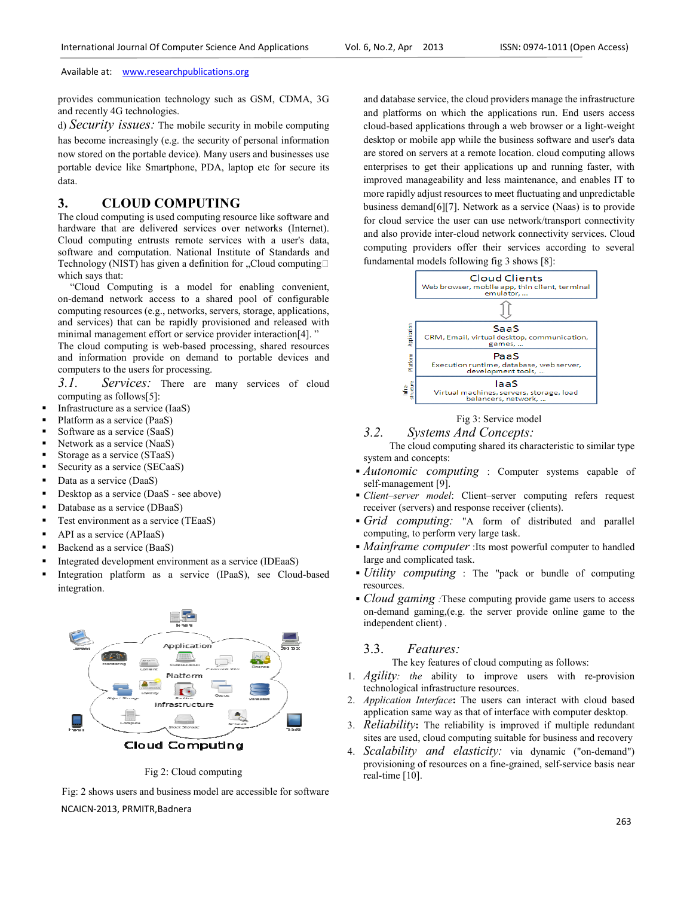provides communication technology such as GSM, CDMA, 3G and recently 4G technologies.

d) *Security issues:* The mobile security in mobile computing has become increasingly (e.g. the security of personal information now stored on the portable device). Many users and businesses use portable device like Smartphone, PDA, laptop etc for secure its data. ion technology such as GSM, CDMA, 3G<br>nologies.<br>S: The mobile security in mobile computing<br>gly (e.g. the security of personal information<br>table device). Many users and businesses use<br>Smartphone, PDA, laptop etc for secure i

# **3. CLOUD COMPUTING**

The cloud computing is used computing resource like software and hardware that are delivered services over networks (Internet). Cloud computing entrusts remote services with a user's data, software and computation. National Institute of Standards and Cloud computing entrusts remote services with a user's data, software and computation. National Institute of Standards and Technology (NIST) has given a definition for "Cloud computingB which says that:

 "Cloud Computing is a model for enabling convenient, on-demand network access to a shared pool of configurable computing resources (e.g., networks, servers, storage, applications, and services) that can be rapidly provisioned and released with "Cloud Computing is a model for enabling convenier<br>on-demand network access to a shared pool of configurab<br>computing resources (e.g., networks, servers, storage, application<br>and services) that can be rapidly provisioned an

The cloud computing is web-based processing, shared resources and information provide on demand to portable devices and computers to the users for processing. s web-based processing, shared resources<br>de on demand to portable devices and<br>or processing.<br>There are many services of cloud<br>[:<br>ce (IaaS)<br>aaS)<br>(IaaS)<br>caaS)<br>aaS - see above)<br>DBaaS)<br>ervice (TEaaS)<br>S)<br>saaS)<br>envice (TEaaS)<br>sa

*3.1. Services:* There are many services of cloud computing as follows[5]:

- Infrastructure as a service (IaaS)
- Platform as a service (PaaS)
- Software as a service (SaaS)
- Network as a service (NaaS)
- Storage as a service (STaaS)
- Security as a service (SECaaS)
- Data as a service (DaaS)
- Desktop as a service (DaaS see above)
- Database as a service (DBaaS)
- Test environment as a service (TEaaS)
- API as a service (APIaaS)
- Backend as a service (BaaS)
- Integrated development environment as a service (IDEaaS)
- **Integration platform as a service (IPaaS), see Cloud-based** integration.



Fig 2: Cloud computing

NCAICN-2013, PRMITR,Badnera Fig: 2 shows users and business model are accessible for software

As exampled a service (Fax) and determining the cloud providers are exampled a service that is a control of the cloud providers and inference in the cloud providers in the cloud providers are example that is a control of and platforms on which the applications run. End users access and database service, the cloud providers manage the infrastructure<br>and platforms on which the applications run. End users access<br>cloud-based applications through a web browser or a light-weight desktop or mobile app while the business software and user's data are stored on servers at a remote location. cloud computing allows enterprises to get their applications up and running faster, with improved manageability and less maintenance, and enables IT to more rapidly adjust resources to meet fluctuating and unpredictable business demand[6][7]. Network as a service (Naas) is to provide for cloud service the user can use network/transport connectivity and also provide inter-cloud network connectivity services. Cloud computing providers offer their services according to several fundamental models following fig 3 shows [8]: d manageability and<br>bidly adjust resources<br>demand[6][7]. Netw<br>d service the user ca<br>provide inter-cloud



# Fig 3: Service model

## *3.2. Systems And Concepts: oncepts:*

The cloud computing shared its characteristic to similar type system and concepts:

- *Autonomic computing* : Computer systems capable of self-management [9].
- *Client–server model*: Client–server computing refers request receiver (servers) and response receiver (clients).
- *Grid computing:* "A form of distributed and parallel computing, to perform very large task.
- *Mainframe computer* :Its most powerful computer to handled large and complicated task. **Mainframe computer** : Its most powerful computer to handled<br> **Mainframe computer** : Its most powerful computer to handled<br>
large and complicated task.<br> **Vility computing** : The "pack or bundle of computing
- resources.
- *Cloud gaming* : These computing provide game users to access on-demand gaming,(e.g. the server provide online game to the independent client) . 1. *Agility*: the server provide online game to the independent client).<br>
2.3. *Features*: The key features of cloud computing as follows:<br>
1. *Agility: the* ability to improve users with re-provision

### 3.3. *Features:*

The key features of cloud computing as follows:

- technological infrastructure resources.
- 2. *Application Interface*: The users can interact with cloud based application same way as that of interface with computer desktop.
- 3. *Reliability***:** The reliability is improved if multiple redundant sites are used, cloud computing suitable for business and recovery
- 4. *Scalability and elasticity:* via dynamic ("on ("on-demand") provisioning of resources on a fine-grained, self-service basis near real-time [10].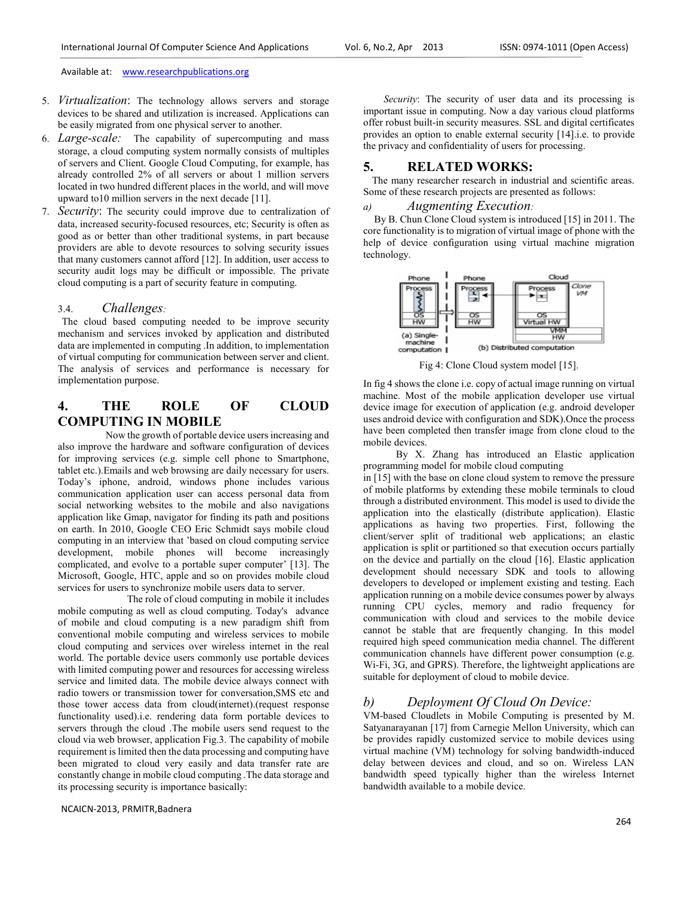- 5. *Virtualization*: The technology allows servers and storage devices to be shared and utilization is increased. Applications can be easily migrated from one physical server to another.
- 6. *Large-scale:* The capability of supercomputing and mass storage, a cloud computing system normally consists of multiples of servers and Client. Google Cloud Computing, for example, has already controlled 2% of all servers or about 1 million servers located in two hundred different places in the world, and will move upward to10 million servers in the next decade [11].
- 7. *Security*: The security could improve due to centralization of data, increased security-focused resources, etc; Security is often as good as or better than other traditional systems, in part because providers are able to devote resources to solving security issues that many customers cannot afford [12]. In addition, user access to security audit logs may be difficult or impossible. The private cloud computing is a part of security feature in computing.

### 3.4. *Challenges:*

The cloud based computing needed to be improve security mechanism and services invoked by application and distributed data are implemented in computing .In addition, to implementation of virtual computing for communication between server and client. The analysis of services and performance is necessary for implementation purpose.

# **4. THE ROLE OF CLOUD COMPUTING IN MOBILE**

Now the growth of portable device users increasing and also improve the hardware and software configuration of devices for improving services (e.g. simple cell phone to Smartphone, tablet etc.).Emails and web browsing are daily necessary for users. Today's iphone, android, windows phone includes various communication application user can access personal data from social networking websites to the mobile and also navigations application like Gmap, navigator for finding its path and positions on earth. In 2010, Google CEO Eric Schmidt says mobile cloud computing in an interview that 'based on cloud computing service development, mobile phones will become increasingly complicated, and evolve to a portable super computer' [13]. The Microsoft, Google, HTC, apple and so on provides mobile cloud services for users to synchronize mobile users data to server.

 The role of cloud computing in mobile it includes mobile computing as well as cloud computing. Today's advance of mobile and cloud computing is a new paradigm shift from conventional mobile computing and wireless services to mobile cloud computing and services over wireless internet in the real world. The portable device users commonly use portable devices with limited computing power and resources for accessing wireless service and limited data. The mobile device always connect with radio towers or transmission tower for conversation,SMS etc and those tower access data from cloud(internet).(request response functionality used).i.e. rendering data form portable devices to servers through the cloud .The mobile users send request to the cloud via web browser, application Fig.3. The capability of mobile requirement is limited then the data processing and computing have been migrated to cloud very easily and data transfer rate are constantly change in mobile cloud computing .The data storage and its processing security is importance basically:

NCAICN-2013, PRMITR,Badnera

 *Security*: The security of user data and its processing is important issue in computing. Now a day various cloud platforms offer robust built-in security measures. SSL and digital certificates provides an option to enable external security [14].i.e. to provide the privacy and confidentiality of users for processing.

### **5. RELATED WORKS:**

The many researcher research in industrial and scientific areas. Some of these research projects are presented as follows:

### *a) Augmenting Execution:*

By B. Chun Clone Cloud system is introduced [15] in 2011. The core functionality is to migration of virtual image of phone with the help of device configuration using virtual machine migration technology.



Fig 4: Clone Cloud system model [15].

In fig 4 shows the clone i.e. copy of actual image running on virtual machine. Most of the mobile application developer use virtual device image for execution of application (e.g. android developer uses android device with configuration and SDK).Once the process have been completed then transfer image from clone cloud to the mobile devices.

 By X. Zhang has introduced an Elastic application programming model for mobile cloud computing

in [15] with the base on clone cloud system to remove the pressure of mobile platforms by extending these mobile terminals to cloud through a distributed environment. This model is used to divide the application into the elastically (distribute application). Elastic applications as having two properties. First, following the client/server split of traditional web applications; an elastic application is split or partitioned so that execution occurs partially on the device and partially on the cloud [16]. Elastic application development should necessary SDK and tools to allowing developers to developed or implement existing and testing. Each application running on a mobile device consumes power by always running CPU cycles, memory and radio frequency for communication with cloud and services to the mobile device cannot be stable that are frequently changing. In this model required high speed communication media channel. The different communication channels have different power consumption (e.g. Wi-Fi, 3G, and GPRS). Therefore, the lightweight applications are suitable for deployment of cloud to mobile device.

### *b) Deployment Of Cloud On Device:*

VM-based Cloudlets in Mobile Computing is presented by M. Satyanarayanan [17] from Carnegie Mellon University, which can be provides rapidly customized service to mobile devices using virtual machine (VM) technology for solving bandwidth-induced delay between devices and cloud, and so on. Wireless LAN bandwidth speed typically higher than the wireless Internet bandwidth available to a mobile device.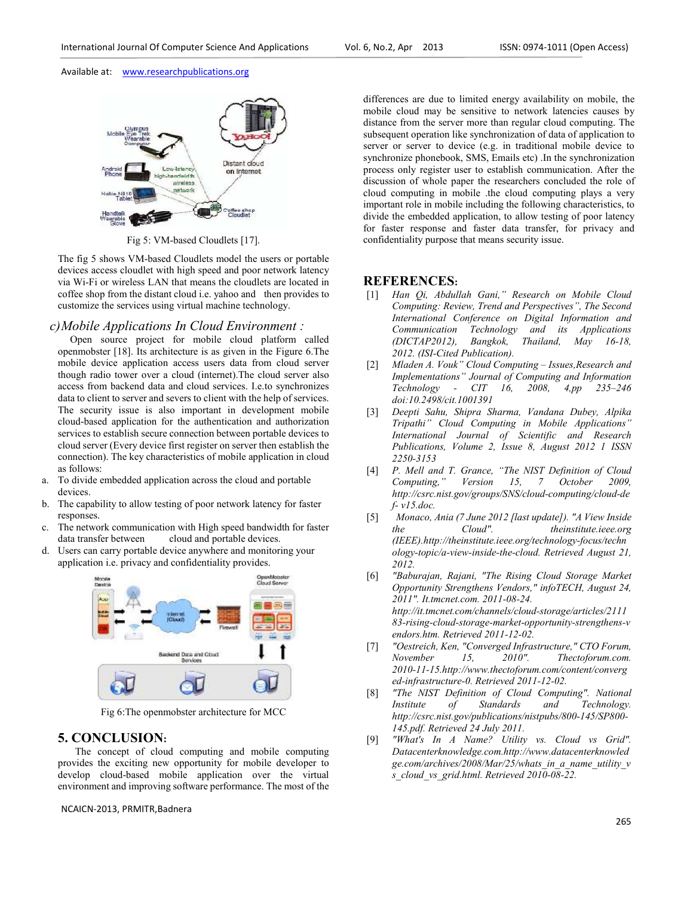

Fig 5: VM-based Cloudlets [17].

The fig 5 shows VM-based Cloudlets model the users or portable devices access cloudlet with high speed and poor network latency via Wi-Fi or wireless LAN that means the cloudlets are located in coffee shop from the distant cloud i.e. yahoo and then provides to customize the services using virtual machine technology.

#### *c)Mobile Applications In Cloud Environment :*

Open source project for mobile cloud platform called openmobster [18]. Its architecture is as given in the Figure 6.The mobile device application access users data from cloud server though radio tower over a cloud (internet).The cloud server also access from backend data and cloud services. I.e.to synchronizes data to client to server and severs to client with the help of services. The security issue is also important in development mobile cloud-based application for the authentication and authorization services to establish secure connection between portable devices to cloud server (Every device first register on server then establish the connection). The key characteristics of mobile application in cloud as follows:

- a. To divide embedded application across the cloud and portable devices.
- b. The capability to allow testing of poor network latency for faster responses.
- c. The network communication with High speed bandwidth for faster data transfer between cloud and portable devices.
- d. Users can carry portable device anywhere and monitoring your application i.e. privacy and confidentiality provides.



Fig 6:The openmobster architecture for MCC

### **5. CONCLUSION:**

The concept of cloud computing and mobile computing provides the exciting new opportunity for mobile developer to develop cloud-based mobile application over the virtual environment and improving software performance. The most of the

NCAICN-2013, PRMITR,Badnera

differences are due to limited energy availability on mobile, the mobile cloud may be sensitive to network latencies causes by distance from the server more than regular cloud computing. The subsequent operation like synchronization of data of application to server or server to device (e.g. in traditional mobile device to synchronize phonebook, SMS, Emails etc) .In the synchronization process only register user to establish communication. After the discussion of whole paper the researchers concluded the role of cloud computing in mobile .the cloud computing plays a very important role in mobile including the following characteristics, to divide the embedded application, to allow testing of poor latency for faster response and faster data transfer, for privacy and confidentiality purpose that means security issue.

### **REFERENCES:**

- [1] *Han Qi, Abdullah Gani," Research on Mobile Cloud Computing: Review, Trend and Perspectives", The Second International Conference on Digital Information and Communication Technology and its Applications (DICTAP2012), Bangkok, Thailand, May 16-18, 2012. (ISI-Cited Publication).*
- [2] *Mladen A. Vouk" Cloud Computing Issues,Research and Implementations" Journal of Computing and Information Technology - CIT 16, 2008, 4,pp 235–246 doi:10.2498/cit.1001391*
- [3] *Deepti Sahu, Shipra Sharma, Vandana Dubey, Alpika Tripathi" Cloud Computing in Mobile Applications" International Journal of Scientific and Research Publications, Volume 2, Issue 8, August 2012 1 ISSN 2250-3153*
- [4] *P. Mell and T. Grance, "The NIST Definition of Cloud Version 15, 7 October 2009, http://csrc.nist.gov/groups/SNS/cloud-computing/cloud-de f- v15.doc.*
- [5] *Monaco, Ania (7 June 2012 [last update]). "A View Inside the Cloud". theinstitute.ieee.org (IEEE).http://theinstitute.ieee.org/technology-focus/techn ology-topic/a-view-inside-the-cloud. Retrieved August 21, 2012.*
- [6] *"Baburajan, Rajani, "The Rising Cloud Storage Market Opportunity Strengthens Vendors," infoTECH, August 24, 2011". It.tmcnet.com. 2011-08-24. http://it.tmcnet.com/channels/cloud-storage/articles/2111 83-rising-cloud-storage-market-opportunity-strengthens-v endors.htm. Retrieved 2011-12-02.*
- [7] *"Oestreich, Ken, "Converged Infrastructure," CTO Forum, November 15, 2010". Thectoforum.com. 2010-11-15.http://www.thectoforum.com/content/converg ed-infrastructure-0. Retrieved 2011-12-02.*
- [8] *"The NIST Definition of Cloud Computing". National Institute of Standards and Technology. http://csrc.nist.gov/publications/nistpubs/800-145/SP800- 145.pdf. Retrieved 24 July 2011.*
- [9] *"What's In A Name? Utility vs. Cloud vs Grid". Datacenterknowledge.com.http://www.datacenterknowled ge.com/archives/2008/Mar/25/whats\_in\_a\_name\_utility\_v s\_cloud\_vs\_grid.html. Retrieved 2010-08-22.*